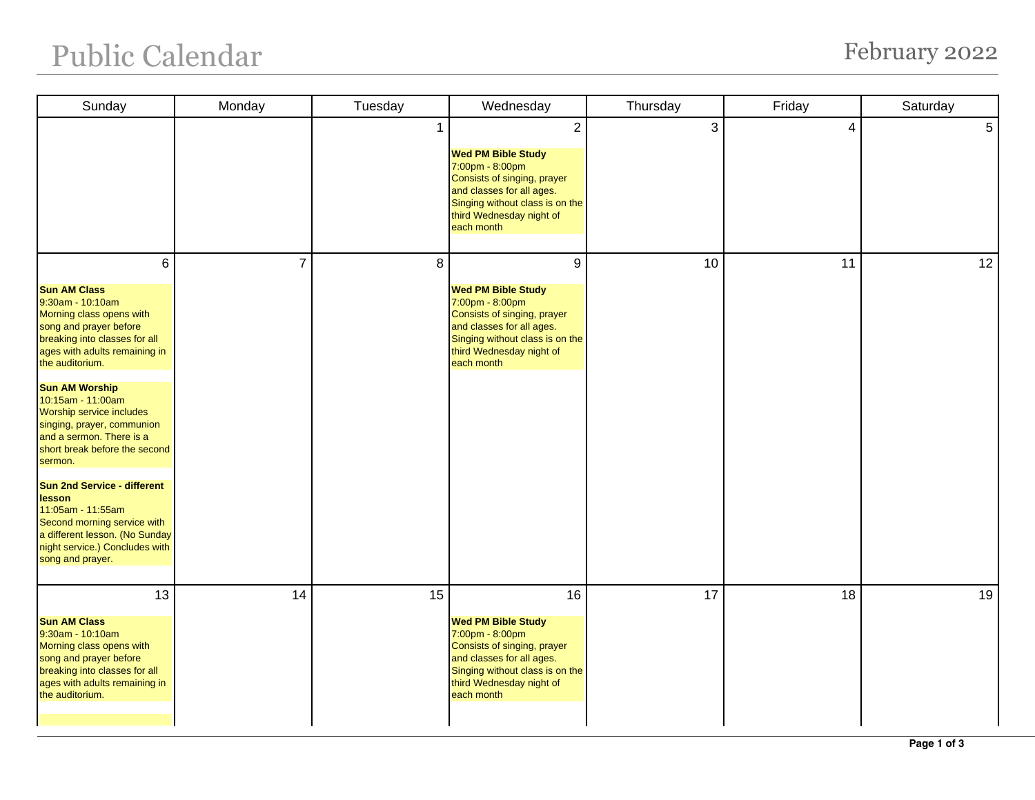## Public Calendar February 2022

| Sunday                                                                                                                                                                                                                                                                                                                                                                                                                                                                                                                                                              | Monday         | Tuesday | Wednesday                                                                                                                                                                                               | Thursday | Friday | Saturday |
|---------------------------------------------------------------------------------------------------------------------------------------------------------------------------------------------------------------------------------------------------------------------------------------------------------------------------------------------------------------------------------------------------------------------------------------------------------------------------------------------------------------------------------------------------------------------|----------------|---------|---------------------------------------------------------------------------------------------------------------------------------------------------------------------------------------------------------|----------|--------|----------|
|                                                                                                                                                                                                                                                                                                                                                                                                                                                                                                                                                                     |                |         | $\overline{2}$<br><b>Wed PM Bible Study</b><br>7:00pm - 8:00pm<br>Consists of singing, prayer<br>and classes for all ages.<br>Singing without class is on the<br>third Wednesday night of<br>each month | 3        | 4      | 5        |
| 6<br><b>Sun AM Class</b><br>9:30am - 10:10am<br>Morning class opens with<br>song and prayer before<br>breaking into classes for all<br>ages with adults remaining in<br>the auditorium.<br><b>Sun AM Worship</b><br>10:15am - 11:00am<br>Worship service includes<br>singing, prayer, communion<br>and a sermon. There is a<br>short break before the second<br>sermon.<br><b>Sun 2nd Service - different</b><br>lesson<br>11:05am - 11:55am<br>Second morning service with<br>a different lesson. (No Sunday<br>night service.) Concludes with<br>song and prayer. | $\overline{7}$ | 8       | 9<br><b>Wed PM Bible Study</b><br>7:00pm - 8:00pm<br>Consists of singing, prayer<br>and classes for all ages.<br>Singing without class is on the<br>third Wednesday night of<br>each month              | 10       | 11     | 12       |
| 13<br><b>Sun AM Class</b><br>9:30am - 10:10am<br>Morning class opens with<br>song and prayer before<br>breaking into classes for all<br>ages with adults remaining in<br>the auditorium.                                                                                                                                                                                                                                                                                                                                                                            | 14             | 15      | 16<br><b>Wed PM Bible Study</b><br>7:00pm - 8:00pm<br>Consists of singing, prayer<br>and classes for all ages.<br>Singing without class is on the<br>third Wednesday night of<br>each month             | 17       | 18     | 19       |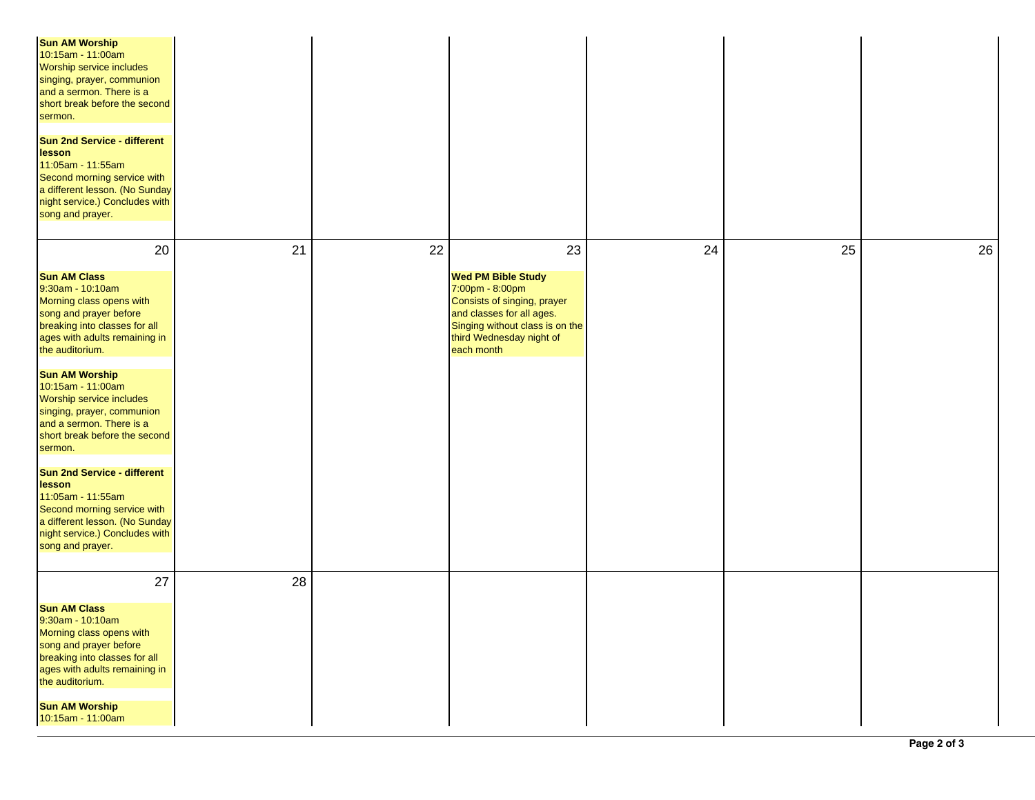| <b>Sun AM Worship</b><br>10:15am - 11:00am<br>Worship service includes<br>singing, prayer, communion<br>and a sermon. There is a<br>short break before the second<br>sermon.<br><b>Sun 2nd Service - different</b><br>lesson<br>11:05am - 11:55am<br>Second morning service with<br>a different lesson. (No Sunday<br>night service.) Concludes with<br>song and prayer.                                                                                                                                                                                                    |    |    |                                                                                                                                                                                             |    |    |    |
|-----------------------------------------------------------------------------------------------------------------------------------------------------------------------------------------------------------------------------------------------------------------------------------------------------------------------------------------------------------------------------------------------------------------------------------------------------------------------------------------------------------------------------------------------------------------------------|----|----|---------------------------------------------------------------------------------------------------------------------------------------------------------------------------------------------|----|----|----|
| 20<br><b>Sun AM Class</b><br>9:30am - 10:10am<br>Morning class opens with<br>song and prayer before<br>breaking into classes for all<br>ages with adults remaining in<br>the auditorium.<br><b>Sun AM Worship</b><br>10:15am - 11:00am<br>Worship service includes<br>singing, prayer, communion<br>and a sermon. There is a<br>short break before the second<br>sermon.<br><b>Sun 2nd Service - different</b><br><b>lesson</b><br>11:05am - 11:55am<br>Second morning service with<br>a different lesson. (No Sunday<br>night service.) Concludes with<br>song and prayer. | 21 | 22 | 23<br><b>Wed PM Bible Study</b><br>7:00pm - 8:00pm<br>Consists of singing, prayer<br>and classes for all ages.<br>Singing without class is on the<br>third Wednesday night of<br>each month | 24 | 25 | 26 |
| 27<br><b>Sun AM Class</b><br>$9:30$ am - 10:10am<br>Morning class opens with<br>song and prayer before<br>breaking into classes for all<br>ages with adults remaining in<br>the auditorium.<br><b>Sun AM Worship</b><br>10:15am - 11:00am                                                                                                                                                                                                                                                                                                                                   | 28 |    |                                                                                                                                                                                             |    |    |    |